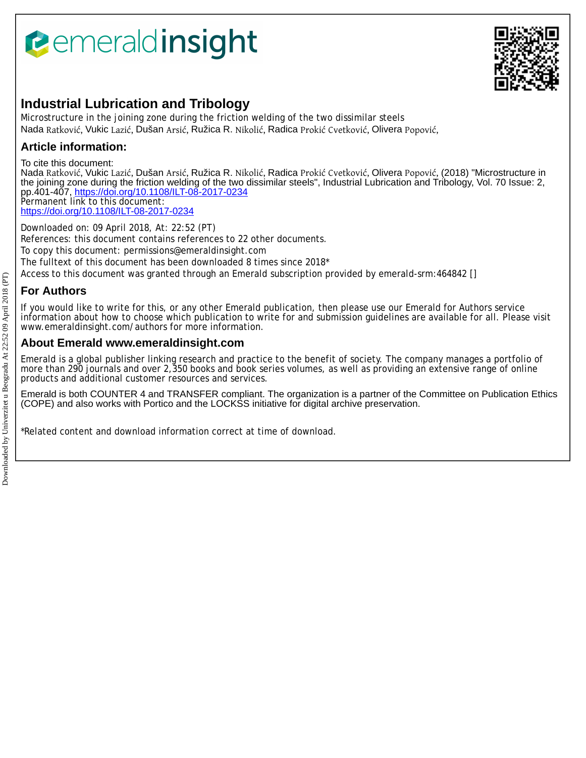# *<u><b>Pemeraldinsight</u>*



# **Industrial Lubrication and Tribology**

Microstructure in the joining zone during the friction welding of the two dissimilar steels Nada Ratković, Vukic Lazić, Dušan Arsić, Ružica R. Nikolić, Radica Prokić Cvetković, Olivera Popović,

# **Article information:**

To cite this document:

Nada Ratković, Vukic Lazić, Dušan Arsić, Ružica R. Nikolić, Radica Prokić Cvetković, Olivera Popović, (2018) "Microstructure in the joining zone during the friction welding of the two dissimilar steels", Industrial Lubrication and Tribology, Vol. 70 Issue: 2, pp.401-407, <https://doi.org/10.1108/ILT-08-2017-0234> Permanent link to this document:

<https://doi.org/10.1108/ILT-08-2017-0234>

Downloaded on: 09 April 2018, At: 22:52 (PT) References: this document contains references to 22 other documents. To copy this document: permissions@emeraldinsight.com The fulltext of this document has been downloaded 8 times since 2018\* Access to this document was granted through an Emerald subscription provided by emerald-srm:464842 []

## **For Authors**

If you would like to write for this, or any other Emerald publication, then please use our Emerald for Authors service information about how to choose which publication to write for and submission guidelines are available for all. Please visit www.emeraldinsight.com/authors for more information.

### **About Emerald www.emeraldinsight.com**

Emerald is a global publisher linking research and practice to the benefit of society. The company manages a portfolio of more than 290 journals and over 2,350 books and book series volumes, as well as providing an extensive range of online products and additional customer resources and services.

Emerald is both COUNTER 4 and TRANSFER compliant. The organization is a partner of the Committee on Publication Ethics (COPE) and also works with Portico and the LOCKSS initiative for digital archive preservation.

\*Related content and download information correct at time of download.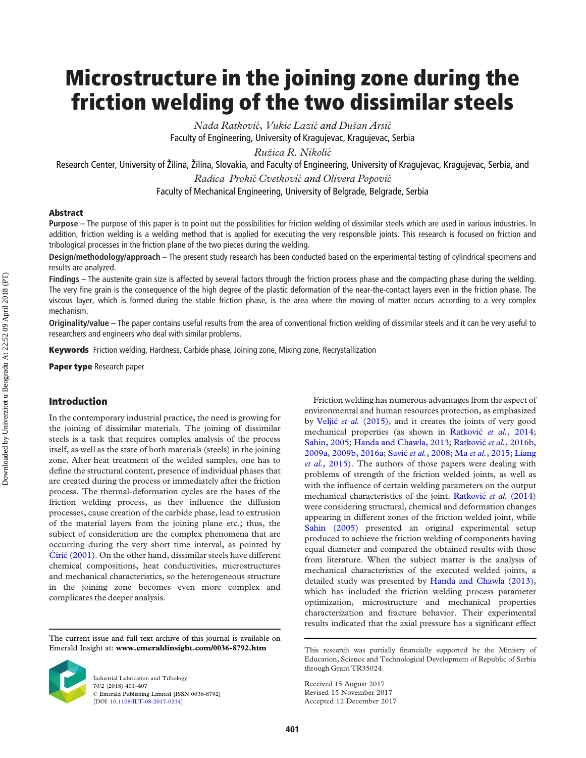# Microstructure in the joining zone during the friction welding of the two dissimilar steels

Nada Ratkovic, Vukic Lazic and Dušan Arsic Faculty of Engineering, University of Kragujevac, Kragujevac, Serbia

Ružica R. Nikolic

Research Center, University of Žilina, Žilina, Slovakia, and Faculty of Engineering, University of Kragujevac, Kragujevac, Serbia, and

Radica Prokic Cvetkovic and Olivera Popovic

Faculty of Mechanical Engineering, University of Belgrade, Belgrade, Serbia

#### Abstract

Purpose – The purpose of this paper is to point out the possibilities for friction welding of dissimilar steels which are used in various industries. In addition, friction welding is a welding method that is applied for executing the very responsible joints. This research is focused on friction and tribological processes in the friction plane of the two pieces during the welding.

Design/methodology/approach – The present study research has been conducted based on the experimental testing of cylindrical specimens and results are analyzed.

Findings - The austenite grain size is affected by several factors through the friction process phase and the compacting phase during the welding. The very fine grain is the consequence of the high degree of the plastic deformation of the near-the-contact layers even in the friction phase. The viscous layer, which is formed during the stable friction phase, is the area where the moving of matter occurs according to a very complex mechanism.

Originality/value – The paper contains useful results from the area of conventional friction welding of dissimilar steels and it can be very useful to researchers and engineers who deal with similar problems.

Keywords Friction welding, Hardness, Carbide phase, Joining zone, Mixing zone, Recrystallization

Paper type Research paper

#### Introduction

In the contemporary industrial practice, the need is growing for the joining of dissimilar materials. The joining of dissimilar steels is a task that requires complex analysis of the process itself, as well as the state of both materials (steels) in the joining zone. After heat treatment of the welded samples, one has to define the structural content, presence of individual phases that are created during the process or immediately after the friction process. The thermal-deformation cycles are the bases of the friction welding process, as they influence the diffusion processes, cause creation of the carbide phase, lead to extrusion of the material layers from the joining plane etc.; thus, the subject of consideration are the complex phenomena that are occurring during the very short time interval, as pointed by  $Ciri\acute{c}$  (2001). On the other hand, dissimilar steels have different chemical compositions, heat conductivities, microstructures and mechanical characteristics, so the heterogeneous structure in the joining zone becomes even more complex and complicates the deeper analysis.

The current issue and full text archive of this journal is available on Emerald Insight at: www.emeraldinsight.com/0036-8792.htm



Industrial Lubrication and Tribology 70/2 (2018) 401–407 © Emerald Publishing Limited [ISSN 0036-8792] [DOI [10.1108/ILT-08-2017-0234](http://dx.doi.org/10.1108/ILT-08-2017-0234)]

Friction welding has numerous advantages from the aspect of environmental and human resources protection, as emphasized by Veljić et al. [\(2015\)](#page-7-0), and it creates the joints of very good mechanical properties (as shown in [Ratkovi](#page-6-1)ć et al., 2014; [Sahin, 2005;](#page-6-2) [Handa and Chawla, 2013](#page-6-3); Ratković et al.[, 2016b,](#page-6-4) [2009a,](#page-6-5) 2009b, 2016a; Savić et al.[, 2008;](#page-7-1) Ma et al.[, 2015;](#page-6-6) [Liang](#page-6-7) et al.[, 2015\)](#page-6-7). The authors of those papers were dealing with problems of strength of the friction welded joints, as well as with the influence of certain welding parameters on the output mechanical characteristics of the joint. [Ratkovi](#page-6-1)ć et al. (2014) were considering structural, chemical and deformation changes appearing in different zones of the friction welded joint, while [Sahin \(2005\)](#page-6-2) presented an original experimental setup produced to achieve the friction welding of components having equal diameter and compared the obtained results with those from literature. When the subject matter is the analysis of mechanical characteristics of the executed welded joints, a detailed study was presented by [Handa and Chawla \(2013\)](#page-6-3), which has included the friction welding process parameter optimization, microstructure and mechanical properties characterization and fracture behavior. Their experimental results indicated that the axial pressure has a significant effect

This research was partially financially supported by the Ministry of Education, Science and Technological Development of Republic of Serbia through Grant TR35024.

Received 15 August 2017 Revised 15 November 2017 Accepted 12 December 2017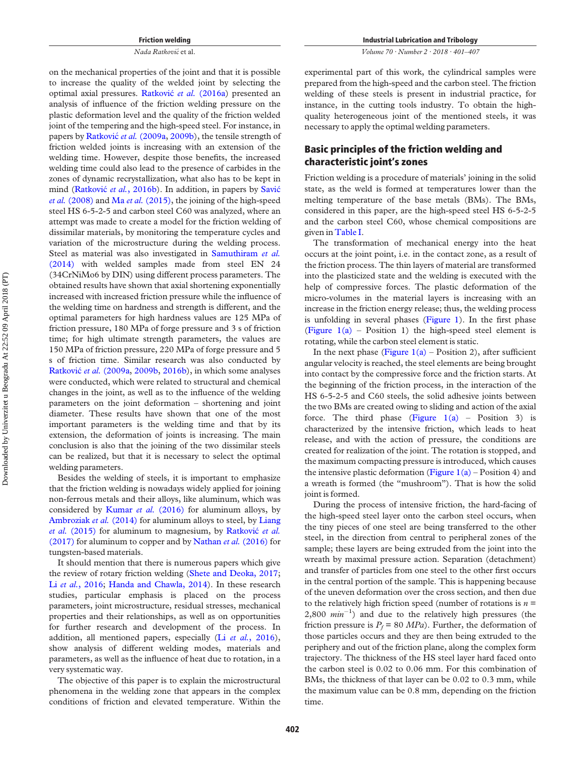#### Nada Ratkovic et al.

on the mechanical properties of the joint and that it is possible to increase the quality of the welded joint by selecting the optimal axial pressures. [Ratkovi](#page-6-8)ć et al. (2016a) presented an analysis of influence of the friction welding pressure on the plastic deformation level and the quality of the friction welded joint of the tempering and the high-speed steel. For instance, in papers by [Ratkovi](#page-6-5)ć et al. (2009a, [2009b\)](#page-6-9), the tensile strength of friction welded joints is increasing with an extension of the welding time. However, despite those benefits, the increased welding time could also lead to the presence of carbides in the zones of dynamic recrystallization, what also has to be kept in mind (Ratković et al.[, 2016b\)](#page-6-4). In addition, in papers by [Savi](#page-7-1)ć et al. [\(2008\)](#page-7-1) and Ma et al. [\(2015\)](#page-6-6), the joining of the high-speed steel HS 6-5-2-5 and carbon steel C60 was analyzed, where an attempt was made to create a model for the friction welding of dissimilar materials, by monitoring the temperature cycles and variation of the microstructure during the welding process. Steel as material was also investigated in [Samuthiram](#page-7-2) et al. [\(2014\)](#page-7-2) with welded samples made from steel EN 24 (34CrNiMo6 by DIN) using different process parameters. The obtained results have shown that axial shortening exponentially increased with increased friction pressure while the influence of the welding time on hardness and strength is different, and the optimal parameters for high hardness values are 125 MPa of friction pressure, 180 MPa of forge pressure and 3 s of friction time; for high ultimate strength parameters, the values are 150 MPa of friction pressure, 220 MPa of forge pressure and 5 s of friction time. Similar research was also conducted by [Ratkovi](#page-6-5)ć et al. (2009a, [2009b](#page-6-9), [2016b](#page-6-4)), in which some analyses were conducted, which were related to structural and chemical changes in the joint, as well as to the influence of the welding parameters on the joint deformation – shortening and joint diameter. These results have shown that one of the most important parameters is the welding time and that by its extension, the deformation of joints is increasing. The main conclusion is also that the joining of the two dissimilar steels can be realized, but that it is necessary to select the optimal welding parameters.

Besides the welding of steels, it is important to emphasize that the friction welding is nowadays widely applied for joining non-ferrous metals and their alloys, like aluminum, which was considered by [Kumar](#page-6-10) et al. (2016) for aluminum alloys, by [Ambroziak](#page-6-11) *et al.* (2014) for aluminum alloys to steel, by [Liang](#page-6-7) et al. [\(2015\)](#page-6-7) for aluminum to magnesium, by [Ratkovi](#page-6-12)ć et al. [\(2017\)](#page-6-12) for aluminum to copper and by [Nathan](#page-6-13) et al. (2016) for tungsten-based materials.

It should mention that there is numerous papers which give the review of rotary friction welding [\(Shete and Deoka, 2017](#page-7-3); Li et al.[, 2016](#page-6-14); [Handa and Chawla, 2014\)](#page-6-15). In these research studies, particular emphasis is placed on the process parameters, joint microstructure, residual stresses, mechanical properties and their relationships, as well as on opportunities for further research and development of the process. In addition, all mentioned papers, especially (Li et al.[, 2016\)](#page-6-14), show analysis of different welding modes, materials and parameters, as well as the influence of heat due to rotation, in a very systematic way.

The objective of this paper is to explain the microstructural phenomena in the welding zone that appears in the complex conditions of friction and elevated temperature. Within the Industrial Lubrication and Tribology

Volume 70 · Number 2 · 2018 · 401–407

experimental part of this work, the cylindrical samples were prepared from the high-speed and the carbon steel. The friction welding of these steels is present in industrial practice, for instance, in the cutting tools industry. To obtain the highquality heterogeneous joint of the mentioned steels, it was necessary to apply the optimal welding parameters.

#### Basic principles of the friction welding and characteristic joint's zones

Friction welding is a procedure of materials' joining in the solid state, as the weld is formed at temperatures lower than the melting temperature of the base metals (BMs). The BMs, considered in this paper, are the high-speed steel HS 6-5-2-5 and the carbon steel C60, whose chemical compositions are given in [Table I](#page-3-0).

The transformation of mechanical energy into the heat occurs at the joint point, i.e. in the contact zone, as a result of the friction process. The thin layers of material are transformed into the plasticized state and the welding is executed with the help of compressive forces. The plastic deformation of the micro-volumes in the material layers is increasing with an increase in the friction energy release; thus, the welding process is unfolding in several phases [\(Figure 1\)](#page-3-1). In the first phase (Figure  $1(a)$  – Position 1) the high-speed steel element is rotating, while the carbon steel element is static.

In the next phase (Figure  $1(a)$  – Position 2), after sufficient angular velocity is reached, the steel elements are being brought into contact by the compressive force and the friction starts. At the beginning of the friction process, in the interaction of the HS 6-5-2-5 and C60 steels, the solid adhesive joints between the two BMs are created owing to sliding and action of the axial force. The third phase  $(Figure 1(a) - Position 3)$  $(Figure 1(a) - Position 3)$  $(Figure 1(a) - Position 3)$  is characterized by the intensive friction, which leads to heat release, and with the action of pressure, the conditions are created for realization of the joint. The rotation is stopped, and the maximum compacting pressure is introduced, which causes the intensive plastic deformation (Figure  $1(a)$  – Position 4) and a wreath is formed (the "mushroom"). That is how the solid joint is formed.

During the process of intensive friction, the hard-facing of the high-speed steel layer onto the carbon steel occurs, when the tiny pieces of one steel are being transferred to the other steel, in the direction from central to peripheral zones of the sample; these layers are being extruded from the joint into the wreath by maximal pressure action. Separation (detachment) and transfer of particles from one steel to the other first occurs in the central portion of the sample. This is happening because of the uneven deformation over the cross section, and then due to the relatively high friction speed (number of rotations is  $n =$ 2,800  $min^{-1}$ ) and due to the relatively high pressures (the friction pressure is  $P_f = 80 \text{ MPa}$ . Further, the deformation of those particles occurs and they are then being extruded to the periphery and out of the friction plane, along the complex form trajectory. The thickness of the HS steel layer hard faced onto the carbon steel is 0.02 to 0.06 mm. For this combination of BMs, the thickness of that layer can be 0.02 to 0.3 mm, while the maximum value can be 0.8 mm, depending on the friction time.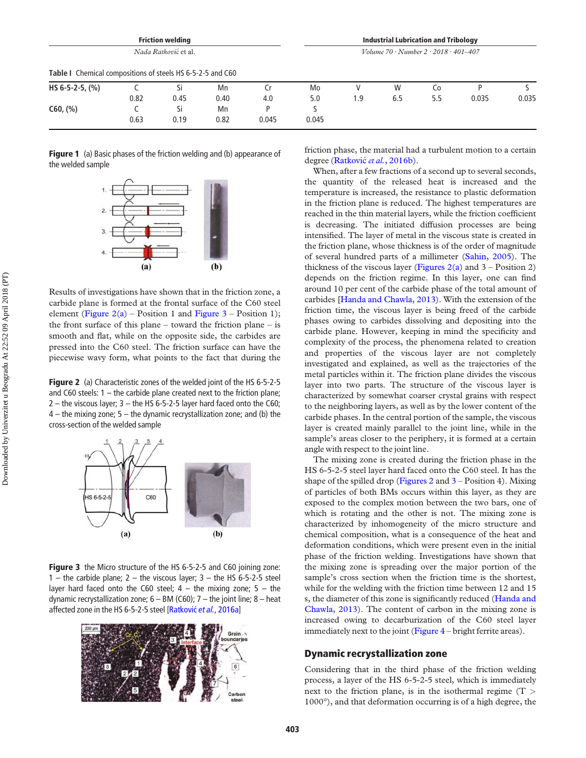<span id="page-3-0"></span>

| <b>Friction welding</b><br>Nada Ratković et al. |      |      |      |       | <b>Industrial Lubrication and Tribology</b><br>Volume $70 \cdot$ Number $2 \cdot 2018 \cdot 401 - 407$ |     |     |     |       |       |  |
|-------------------------------------------------|------|------|------|-------|--------------------------------------------------------------------------------------------------------|-----|-----|-----|-------|-------|--|
|                                                 |      |      |      |       |                                                                                                        |     |     |     |       |       |  |
| HS $6-5-2-5$ , $(%)$                            |      | Si   | Mn   | Cr    | Mo                                                                                                     |     | W   | Co  |       |       |  |
|                                                 | 0.82 | 0.45 | 0.40 | 4.0   | 5.0                                                                                                    | 1.9 | 6.5 | 5.5 | 0.035 | 0.035 |  |
| C60, (%)                                        |      | Si   | Mn   | D.    |                                                                                                        |     |     |     |       |       |  |
|                                                 | 0.63 | 0.19 | 0.82 | 0.045 | 0.045                                                                                                  |     |     |     |       |       |  |

<span id="page-3-1"></span>**Figure 1** (a) Basic phases of the friction welding and (b) appearance of the welded sample



Results of investigations have shown that in the friction zone, a carbide plane is formed at the frontal surface of the C60 steel element (Figure  $2(a)$  – Position 1 and [Figure 3](#page-3-3) – Position 1); the front surface of this plane – toward the friction plane – is smooth and flat, while on the opposite side, the carbides are pressed into the C60 steel. The friction surface can have the piecewise wavy form, what points to the fact that during the

<span id="page-3-2"></span>Figure 2 (a) Characteristic zones of the welded joint of the HS 6-5-2-5 and C60 steels:  $1 -$  the carbide plane created next to the friction plane; 2 – the viscous layer; 3 – the HS 6-5-2-5 layer hard faced onto the C60; 4 – the mixing zone; 5 – the dynamic recrystallization zone; and (b) the cross-section of the welded sample



<span id="page-3-3"></span>Figure 3 the Micro structure of the HS 6-5-2-5 and C60 joining zone:  $1 -$  the carbide plane;  $2 -$  the viscous layer;  $3 -$  the HS 6-5-2-5 steel layer hard faced onto the C60 steel;  $4 -$  the mixing zone;  $5 -$  the dynamic recrystallization zone; 6 – BM (C60); 7 – the joint line; 8 – heat affected zone in the HS 6-5-2-5 steel [\[Ratkovi](#page-6-8)ć et al., 2016a]



friction phase, the material had a turbulent motion to a certain degree (Ratković et al.[, 2016b\)](#page-6-4).

When, after a few fractions of a second up to several seconds, the quantity of the released heat is increased and the temperature is increased, the resistance to plastic deformation in the friction plane is reduced. The highest temperatures are reached in the thin material layers, while the friction coefficient is decreasing. The initiated diffusion processes are being intensified. The layer of metal in the viscous state is created in the friction plane, whose thickness is of the order of magnitude of several hundred parts of a millimeter [\(Sahin, 2005](#page-6-2)). The thickness of the viscous layer (Figures  $2(a)$  and  $3$  – Position 2) depends on the friction regime. In this layer, one can find around 10 per cent of the carbide phase of the total amount of carbides [\[Handa and Chawla, 2013](#page-6-3)). With the extension of the friction time, the viscous layer is being freed of the carbide phases owing to carbides dissolving and depositing into the carbide plane. However, keeping in mind the specificity and complexity of the process, the phenomena related to creation and properties of the viscous layer are not completely investigated and explained, as well as the trajectories of the metal particles within it. The friction plane divides the viscous layer into two parts. The structure of the viscous layer is characterized by somewhat coarser crystal grains with respect to the neighboring layers, as well as by the lower content of the carbide phases. In the central portion of the sample, the viscous layer is created mainly parallel to the joint line, while in the sample's areas closer to the periphery, it is formed at a certain angle with respect to the joint line.

The mixing zone is created during the friction phase in the HS 6-5-2-5 steel layer hard faced onto the C60 steel. It has the shape of the spilled drop ([Figures 2](#page-3-2) and  $3$  – Position 4). Mixing of particles of both BMs occurs within this layer, as they are exposed to the complex motion between the two bars, one of which is rotating and the other is not. The mixing zone is characterized by inhomogeneity of the micro structure and chemical composition, what is a consequence of the heat and deformation conditions, which were present even in the initial phase of the friction welding. Investigations have shown that the mixing zone is spreading over the major portion of the sample's cross section when the friction time is the shortest, while for the welding with the friction time between 12 and 15 s, the diameter of this zone is significantly reduced ([Handa and](#page-6-3) [Chawla, 2013](#page-6-3)). The content of carbon in the mixing zone is increased owing to decarburization of the C60 steel layer immediately next to the joint [\(Figure 4](#page-4-0) – bright ferrite areas).

#### Dynamic recrystallization zone

Considering that in the third phase of the friction welding process, a layer of the HS 6-5-2-5 steel, which is immediately next to the friction plane, is in the isothermal regime  $(T >$ 1000°), and that deformation occurring is of a high degree, the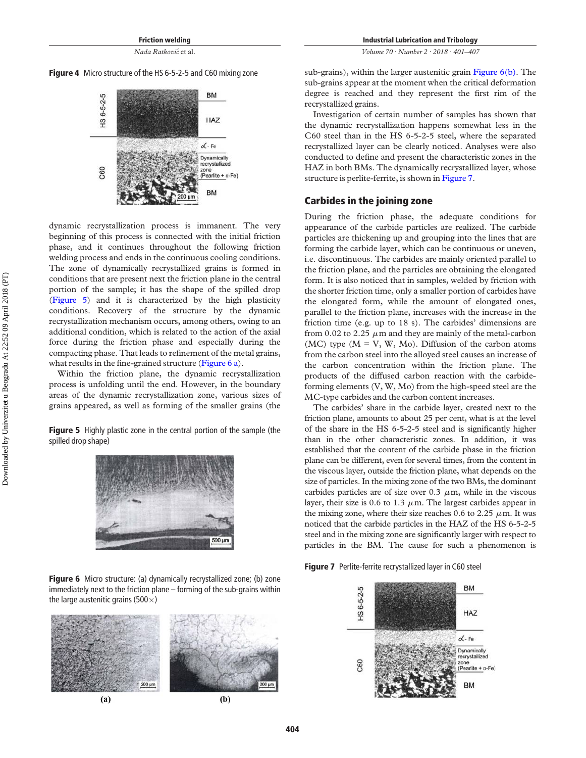Volume 70 · Number 2 · 2018 · 401–407

<span id="page-4-0"></span>Figure 4 Micro structure of the HS 6-5-2-5 and C60 mixing zone



dynamic recrystallization process is immanent. The very beginning of this process is connected with the initial friction phase, and it continues throughout the following friction welding process and ends in the continuous cooling conditions. The zone of dynamically recrystallized grains is formed in conditions that are present next the friction plane in the central portion of the sample; it has the shape of the spilled drop [\(Figure 5\)](#page-4-1) and it is characterized by the high plasticity conditions. Recovery of the structure by the dynamic recrystallization mechanism occurs, among others, owing to an additional condition, which is related to the action of the axial force during the friction phase and especially during the compacting phase. That leads to refinement of the metal grains, what results in the fine-grained structure ([Figure 6 a\)](#page-4-2).

Within the friction plane, the dynamic recrystallization process is unfolding until the end. However, in the boundary areas of the dynamic recrystallization zone, various sizes of grains appeared, as well as forming of the smaller grains (the

<span id="page-4-1"></span>**Figure 5** Highly plastic zone in the central portion of the sample (the spilled drop shape)



<span id="page-4-2"></span>**Figure 6** Micro structure: (a) dynamically recrystallized zone; (b) zone immediately next to the friction plane – forming of the sub-grains within the large austenitic grains (500 $\times$ )



 $(a)$ 

 $(b)$ 

sub-grains), within the larger austenitic grain  $Figure 6(b)$ . The sub-grains appear at the moment when the critical deformation degree is reached and they represent the first rim of the recrystallized grains.

Investigation of certain number of samples has shown that the dynamic recrystallization happens somewhat less in the C60 steel than in the HS 6-5-2-5 steel, where the separated recrystallized layer can be clearly noticed. Analyses were also conducted to define and present the characteristic zones in the HAZ in both BMs. The dynamically recrystallized layer, whose structure is perlite-ferrite, is shown in [Figure 7.](#page-4-3)

#### Carbides in the joining zone

During the friction phase, the adequate conditions for appearance of the carbide particles are realized. The carbide particles are thickening up and grouping into the lines that are forming the carbide layer, which can be continuous or uneven, i.e. discontinuous. The carbides are mainly oriented parallel to the friction plane, and the particles are obtaining the elongated form. It is also noticed that in samples, welded by friction with the shorter friction time, only a smaller portion of carbides have the elongated form, while the amount of elongated ones, parallel to the friction plane, increases with the increase in the friction time (e.g. up to 18 s). The carbides' dimensions are from 0.02 to 2.25  $\mu$ m and they are mainly of the metal-carbon (MC) type  $(M = V, W, Mo)$ . Diffusion of the carbon atoms from the carbon steel into the alloyed steel causes an increase of the carbon concentration within the friction plane. The products of the diffused carbon reaction with the carbideforming elements (V, W, Mo) from the high-speed steel are the MC-type carbides and the carbon content increases.

The carbides' share in the carbide layer, created next to the friction plane, amounts to about 25 per cent, what is at the level of the share in the HS 6-5-2-5 steel and is significantly higher than in the other characteristic zones. In addition, it was established that the content of the carbide phase in the friction plane can be different, even for several times, from the content in the viscous layer, outside the friction plane, what depends on the size of particles. In the mixing zone of the two BMs, the dominant carbides particles are of size over 0.3  $\mu$ m, while in the viscous layer, their size is 0.6 to 1.3  $\mu$ m. The largest carbides appear in the mixing zone, where their size reaches 0.6 to 2.25  $\mu$ m. It was noticed that the carbide particles in the HAZ of the HS 6-5-2-5 steel and in the mixing zone are significantly larger with respect to particles in the BM. The cause for such a phenomenon is

<span id="page-4-3"></span>

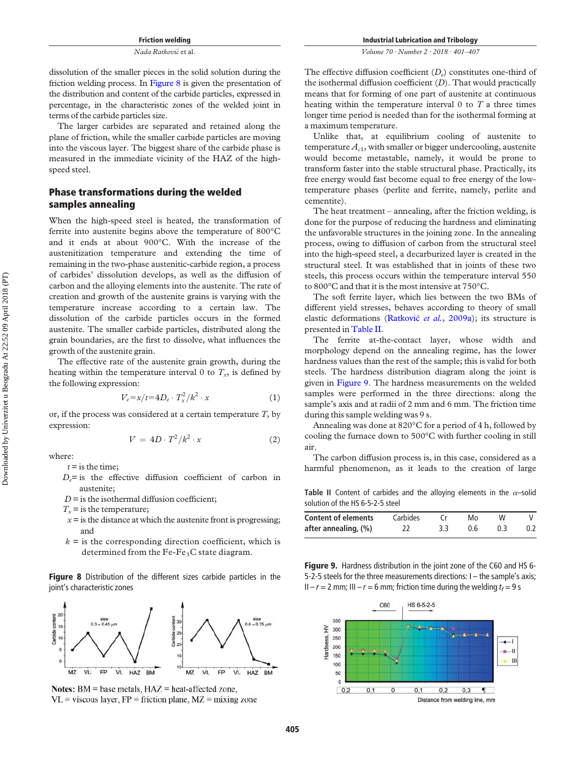#### Nada Ratković et al.

Volume 70 · Number 2 · 2018 · 401–407

dissolution of the smaller pieces in the solid solution during the friction welding process. In [Figure 8](#page-5-0) is given the presentation of the distribution and content of the carbide particles, expressed in percentage, in the characteristic zones of the welded joint in terms of the carbide particles size.

The larger carbides are separated and retained along the plane of friction, while the smaller carbide particles are moving into the viscous layer. The biggest share of the carbide phase is measured in the immediate vicinity of the HAZ of the highspeed steel.

#### Phase transformations during the welded samples annealing

When the high-speed steel is heated, the transformation of ferrite into austenite begins above the temperature of 800°C and it ends at about 900°C. With the increase of the austenitization temperature and extending the time of remaining in the two-phase austenitic-carbide region, a process of carbides' dissolution develops, as well as the diffusion of carbon and the alloying elements into the austenite. The rate of creation and growth of the austenite grains is varying with the temperature increase according to a certain law. The dissolution of the carbide particles occurs in the formed austenite. The smaller carbide particles, distributed along the grain boundaries, are the first to dissolve, what influences the growth of the austenite grain.

The effective rate of the austenite grain growth, during the heating within the temperature interval 0 to  $T_{xx}$  is defined by the following expression:

$$
V_e = x/t = 4D_e \cdot T_x^2/k^2 \cdot x \tag{1}
$$

or, if the process was considered at a certain temperature  $T$ , by expression:

$$
V = 4D \cdot T^2 / k^2 \cdot x \tag{2}
$$

where:

 $t =$  is the time;

- $D<sub>e</sub>$ = is the effective diffusion coefficient of carbon in austenite;
- $D =$  is the isothermal diffusion coefficient;
- $T_x$  = is the temperature;
- $x =$  is the distance at which the austenite front is progressing; and
- $k =$  is the corresponding direction coefficient, which is determined from the Fe-Fe<sub>3</sub>C state diagram.

<span id="page-5-0"></span>Figure 8 Distribution of the different sizes carbide particles in the joint's characteristic zones



Notes: BM = base metals, HAZ = heat-affected zone,  $VL =$  viscous layer,  $FP =$  friction plane,  $MZ =$  mixing zone

The effective diffusion coefficient  $(D_e)$  constitutes one-third of the isothermal diffusion coefficient  $(D)$ . That would practically means that for forming of one part of austenite at continuous heating within the temperature interval  $0$  to  $T$  a three times longer time period is needed than for the isothermal forming at a maximum temperature.

Unlike that, at equilibrium cooling of austenite to temperature  $A_{c1}$ , with smaller or bigger undercooling, austenite would become metastable, namely, it would be prone to transform faster into the stable structural phase. Practically, its free energy would fast become equal to free energy of the lowtemperature phases (perlite and ferrite, namely, perlite and cementite).

The heat treatment – annealing, after the friction welding, is done for the purpose of reducing the hardness and eliminating the unfavorable structures in the joining zone. In the annealing process, owing to diffusion of carbon from the structural steel into the high-speed steel, a decarburized layer is created in the structural steel. It was established that in joints of these two steels, this process occurs within the temperature interval 550 to 800°C and that it is the most intensive at 750°C.

The soft ferrite layer, which lies between the two BMs of different yield stresses, behaves according to theory of small elastic deformations (Ratković et al.[, 2009a\)](#page-6-5); its structure is presented in [Table II.](#page-5-1)

The ferrite at-the-contact layer, whose width and morphology depend on the annealing regime, has the lower hardness values than the rest of the sample; this is valid for both steels. The hardness distribution diagram along the joint is given in [Figure 9](#page-5-2). The hardness measurements on the welded samples were performed in the three directions: along the sample's axis and at radii of 2 mm and 6 mm. The friction time during this sample welding was 9 s.

Annealing was done at 820°C for a period of 4 h, followed by cooling the furnace down to 500°C with further cooling in still air.

The carbon diffusion process is, in this case, considered as a harmful phenomenon, as it leads to the creation of large

<span id="page-5-1"></span>Table II Content of carbides and the alloying elements in the  $\alpha$ -solid solution of the HS 6-5-2-5 steel

| <b>Content of elements</b> | Carbides | Mo |     |     |
|----------------------------|----------|----|-----|-----|
| after annealing, (%)       |          | 06 | 0.3 | 0.2 |

<span id="page-5-2"></span>Figure 9. Hardness distribution in the joint zone of the C60 and HS 6-5-2-5 steels for the three measurements directions: I – the sample's axis;  $II - r = 2$  mm; III –  $r = 6$  mm; friction time during the welding  $t_f = 9$  s

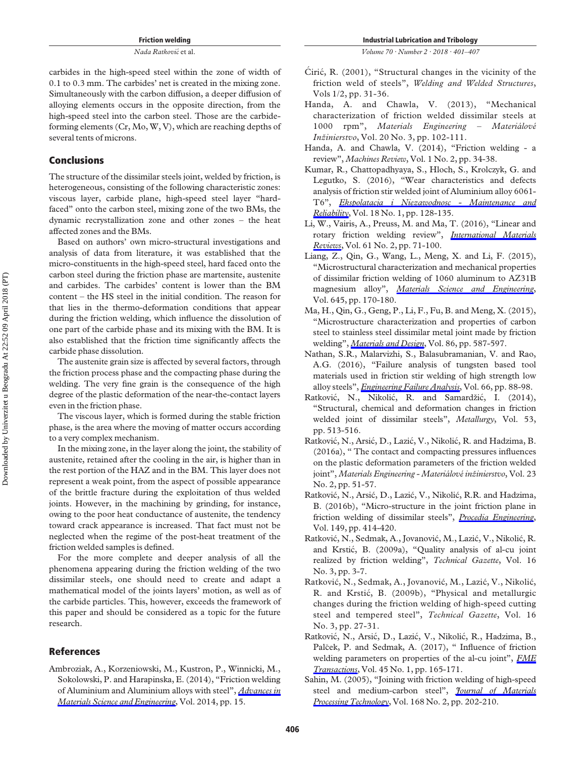#### Nada Ratkovic et al.

carbides in the high-speed steel within the zone of width of 0.1 to 0.3 mm. The carbides' net is created in the mixing zone. Simultaneously with the carbon diffusion, a deeper diffusion of alloying elements occurs in the opposite direction, from the high-speed steel into the carbon steel. Those are the carbideforming elements (Cr, Mo, W, V), which are reaching depths of several tents of microns.

#### Conclusions

The structure of the dissimilar steels joint, welded by friction, is heterogeneous, consisting of the following characteristic zones: viscous layer, carbide plane, high-speed steel layer "hardfaced" onto the carbon steel, mixing zone of the two BMs, the dynamic recrystallization zone and other zones – the heat affected zones and the BMs.

Based on authors' own micro-structural investigations and analysis of data from literature, it was established that the micro-constituents in the high-speed steel, hard faced onto the carbon steel during the friction phase are martensite, austenite and carbides. The carbides' content is lower than the BM content – the HS steel in the initial condition. The reason for that lies in the thermo-deformation conditions that appear during the friction welding, which influence the dissolution of one part of the carbide phase and its mixing with the BM. It is also established that the friction time significantly affects the carbide phase dissolution.

The austenite grain size is affected by several factors, through the friction process phase and the compacting phase during the welding. The very fine grain is the consequence of the high degree of the plastic deformation of the near-the-contact layers even in the friction phase.

The viscous layer, which is formed during the stable friction phase, is the area where the moving of matter occurs according to a very complex mechanism.

In the mixing zone, in the layer along the joint, the stability of austenite, retained after the cooling in the air, is higher than in the rest portion of the HAZ and in the BM. This layer does not represent a weak point, from the aspect of possible appearance of the brittle fracture during the exploitation of thus welded joints. However, in the machining by grinding, for instance, owing to the poor heat conductance of austenite, the tendency toward crack appearance is increased. That fact must not be neglected when the regime of the post-heat treatment of the friction welded samples is defined.

For the more complete and deeper analysis of all the phenomena appearing during the friction welding of the two dissimilar steels, one should need to create and adapt a mathematical model of the joints layers' motion, as well as of the carbide particles. This, however, exceeds the framework of this paper and should be considered as a topic for the future research.

#### References

<span id="page-6-11"></span>Ambroziak, A., Korzeniowski, M., Kustron, P., Winnicki, M., Sokolowski, P. and Harapinska, E. (2014), "Friction welding of Aluminium and Aluminium alloys with steel", *[Advances in](https://www.emeraldinsight.com/action/showLinks?doi=10.1108%2FILT-08-2017-0234&crossref=10.1155%2F2014%2F981653&citationId=p_1)* [Materials Science and Engineering](https://www.emeraldinsight.com/action/showLinks?doi=10.1108%2FILT-08-2017-0234&crossref=10.1155%2F2014%2F981653&citationId=p_1), Vol. 2014, pp. 15.

Volume 70 · Number 2 · 2018 · 401–407

- <span id="page-6-0"></span> $C$ irić, R. (2001), "Structural changes in the vicinity of the friction weld of steels", Welding and Welded Structures, Vols 1/2, pp. 31-36.
- <span id="page-6-3"></span>Handa, A. and Chawla, V. (2013), "Mechanical characterization of friction welded dissimilar steels at 1000 rpm", Materials Engineering – Materiálové Inžinierstvo, Vol. 20 No. 3, pp. 102-111.
- <span id="page-6-15"></span>Handa, A. and Chawla, V. (2014), "Friction welding - a review", Machines Review, Vol. 1 No. 2, pp. 34-38.
- <span id="page-6-10"></span>Kumar, R., Chattopadhyaya, S., Hloch, S., Krolczyk, G. and Legutko, S. (2016), "Wear characteristics and defects analysis of friction stir welded joint of Aluminium alloy 6061- T6", [Ekspolatacja i Niezawodnosc - Maintenance and](https://www.emeraldinsight.com/action/showLinks?doi=10.1108%2FILT-08-2017-0234&crossref=10.17531%2Fein.2016.1.17&isi=000367163800017&citationId=p_5) [Reliability](https://www.emeraldinsight.com/action/showLinks?doi=10.1108%2FILT-08-2017-0234&crossref=10.17531%2Fein.2016.1.17&isi=000367163800017&citationId=p_5), Vol. 18 No. 1, pp. 128-135.
- <span id="page-6-14"></span>Li, W., Vairis, A., Preuss, M. and Ma, T. (2016), "Linear and rotary friction welding review", *[International Materials](https://www.emeraldinsight.com/action/showLinks?doi=10.1108%2FILT-08-2017-0234&crossref=10.1080%2F09506608.2015.1109214&isi=000372156300001&citationId=p_6)* [Reviews](https://www.emeraldinsight.com/action/showLinks?doi=10.1108%2FILT-08-2017-0234&crossref=10.1080%2F09506608.2015.1109214&isi=000372156300001&citationId=p_6), Vol. 61 No. 2, pp. 71-100.
- <span id="page-6-7"></span>Liang, Z., Qin, G., Wang, L., Meng, X. and Li, F. (2015), "Microstructural characterization and mechanical properties of dissimilar friction welding of 1060 aluminum to AZ31B magnesium alloy", [Materials Science and Engineering](https://www.emeraldinsight.com/action/showLinks?doi=10.1108%2FILT-08-2017-0234&crossref=10.1016%2Fj.msea.2015.07.089&citationId=p_7), Vol. 645, pp. 170-180.
- <span id="page-6-6"></span>Ma, H., Qin, G., Geng, P., Li, F., Fu, B. and Meng, X. (2015), "Microstructure characterization and properties of carbon steel to stainless steel dissimilar metal joint made by friction welding", [Materials and Design](https://www.emeraldinsight.com/action/showLinks?doi=10.1108%2FILT-08-2017-0234&crossref=10.1016%2Fj.matdes.2015.07.068&isi=000362862700073&citationId=p_8), Vol. 86, pp. 587-597.
- <span id="page-6-13"></span>Nathan, S.R., Malarvizhi, S., Balasubramanian, V. and Rao, A.G. (2016), "Failure analysis of tungsten based tool materials used in friction stir welding of high strength low alloy steels", [Engineering Failure Analysis](https://www.emeraldinsight.com/action/showLinks?doi=10.1108%2FILT-08-2017-0234&crossref=10.1016%2Fj.engfailanal.2016.04.018&isi=000382114600002&citationId=p_9), Vol. 66, pp. 88-98.
- <span id="page-6-1"></span>Ratkovic, N., Nikolic, R. and Samardžic, I. (2014), "Structural, chemical and deformation changes in friction welded joint of dissimilar steels", Metallurgy, Vol. 53, pp. 513-516.
- <span id="page-6-8"></span>Ratkovic, N., Arsic, D., Lazic, V., Nikolic, R. and Hadzima, B. (2016a), " The contact and compacting pressures influences on the plastic deformation parameters of the friction welded joint", Materials Engineering - Materiálové inžinierstvo, Vol. 23 No. 2, pp. 51-57.
- <span id="page-6-4"></span>Ratkovic, N., Arsic, D., Lazic, V., Nikolic, R.R. and Hadzima, B. (2016b), "Micro-structure in the joint friction plane in friction welding of dissimilar steels", [Procedia Engineering](https://www.emeraldinsight.com/action/showLinks?doi=10.1108%2FILT-08-2017-0234&crossref=10.1016%2Fj.proeng.2016.06.686&citationId=p_12), Vol. 149, pp. 414-420.
- <span id="page-6-5"></span>Ratkovic, N., Sedmak, A., Jovanovic, M., Lazic, V., Nikolic, R. and Krstic, B. (2009a), "Quality analysis of al-cu joint realized by friction welding", Technical Gazette, Vol. 16 No. 3, pp. 3-7.
- <span id="page-6-9"></span>Ratkovic, N., Sedmak, A., Jovanovic, M., Lazic, V., Nikolic, R. and Krstic, B. (2009b), "Physical and metallurgic changes during the friction welding of high-speed cutting steel and tempered steel", Technical Gazette, Vol. 16 No. 3, pp. 27-31.
- <span id="page-6-12"></span>Ratkovic, N., Arsic, D., Lazic, V., Nikolic, R., Hadzima, B., Palček, P. and Sedmak, A. (2017), " Influence of friction welding parameters on properties of the al-cu joint", [FME](https://www.emeraldinsight.com/action/showLinks?doi=10.1108%2FILT-08-2017-0234&crossref=10.5937%2Ffmet1701165R&isi=000408082100026&citationId=p_15) *[Transactions](https://www.emeraldinsight.com/action/showLinks?doi=10.1108%2FILT-08-2017-0234&crossref=10.5937%2Ffmet1701165R&isi=000408082100026&citationId=p_15)*, Vol. 45 No. 1, pp. 165-171.
- <span id="page-6-2"></span>Sahin, M. (2005), "Joining with friction welding of high-speed steel and medium-carbon steel", *[Journal of Materials](https://www.emeraldinsight.com/action/showLinks?doi=10.1108%2FILT-08-2017-0234&crossref=10.1016%2Fj.jmatprotec.2004.11.015&isi=000232292100003&citationId=p_16)* [Processing Technology](https://www.emeraldinsight.com/action/showLinks?doi=10.1108%2FILT-08-2017-0234&crossref=10.1016%2Fj.jmatprotec.2004.11.015&isi=000232292100003&citationId=p_16), Vol. 168 No. 2, pp. 202-210.